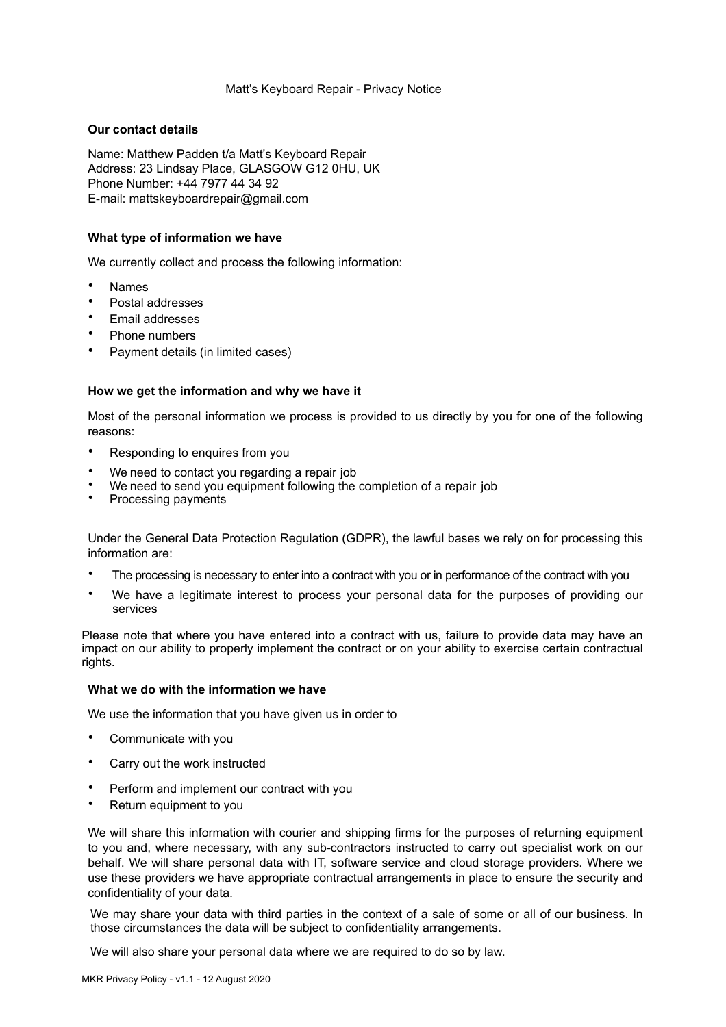# Matt's Keyboard Repair - Privacy Notice

# **Our contact details**

Name: Matthew Padden t/a Matt's Keyboard Repair Address: 23 Lindsay Place, GLASGOW G12 0HU, UK Phone Number: +44 7977 44 34 92 E-mail: [mattskeyboardr](mailto:mattskeyboardrepair@gmail.com)[epair@gmail.com](mailto:epair@gmail.com) 

# **What type of information we have**

We currently collect and process the following information:

- Names
- Postal addresses
- Email addresses
- Phone numbers
- Payment details (in limited cases)

#### **How we get the information and why we have it**

Most of the personal information we process is provided to us directly by you for one of the following reasons:

- Responding to enquires from you
- We need to contact you regarding a repair job
- We need to send you equipment following the completion of a repair job
- Processing payments

Under the General Data Protection Regulation (GDPR), the lawful bases we rely on for processing this information are:

- The processing is necessary to enter into a contract with you or in performance of the contract with you
- We have a legitimate interest to process your personal data for the purposes of providing our services

Please note that where you have entered into a contract with us, failure to provide data may have an impact on our ability to properly implement the contract or on your ability to exercise certain contractual rights.

## **What we do with the information we have**

We use the information that you have given us in order to

- Communicate with you
- Carry out the work instructed
- Perform and implement our contract with you
- Return equipment to you

We will share this information with courier and shipping firms for the purposes of returning equipment to you and, where necessary, with any sub-contractors instructed to carry out specialist work on our behalf. We will share personal data with IT, software service and cloud storage providers. Where we use these providers we have appropriate contractual arrangements in place to ensure the security and confidentiality of your data.

We may share your data with third parties in the context of a sale of some or all of our business. In those circumstances the data will be subject to confidentiality arrangements.

We will also share your personal data where we are required to do so by law.